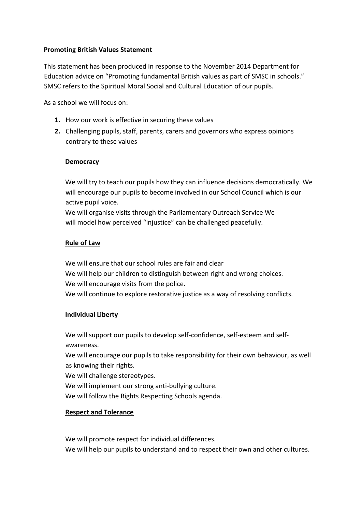## **Promoting British Values Statement**

This statement has been produced in response to the November 2014 Department for Education advice on "Promoting fundamental British values as part of SMSC in schools." SMSC refers to the Spiritual Moral Social and Cultural Education of our pupils.

As a school we will focus on:

- **1.** How our work is effective in securing these values
- **2.** Challenging pupils, staff, parents, carers and governors who express opinions contrary to these values

### **Democracy**

We will try to teach our pupils how they can influence decisions democratically. We will encourage our pupils to become involved in our School Council which is our active pupil voice.

We will organise visits through the Parliamentary Outreach Service We will model how perceived "injustice" can be challenged peacefully.

#### **Rule of Law**

We will ensure that our school rules are fair and clear We will help our children to distinguish between right and wrong choices. We will encourage visits from the police. We will continue to explore restorative justice as a way of resolving conflicts.

#### **Individual Liberty**

We will support our pupils to develop self-confidence, self-esteem and selfawareness.

We will encourage our pupils to take responsibility for their own behaviour, as well as knowing their rights.

We will challenge stereotypes.

We will implement our strong anti-bullying culture.

We will follow the Rights Respecting Schools agenda.

# **Respect and Tolerance**

We will promote respect for individual differences.

We will help our pupils to understand and to respect their own and other cultures.